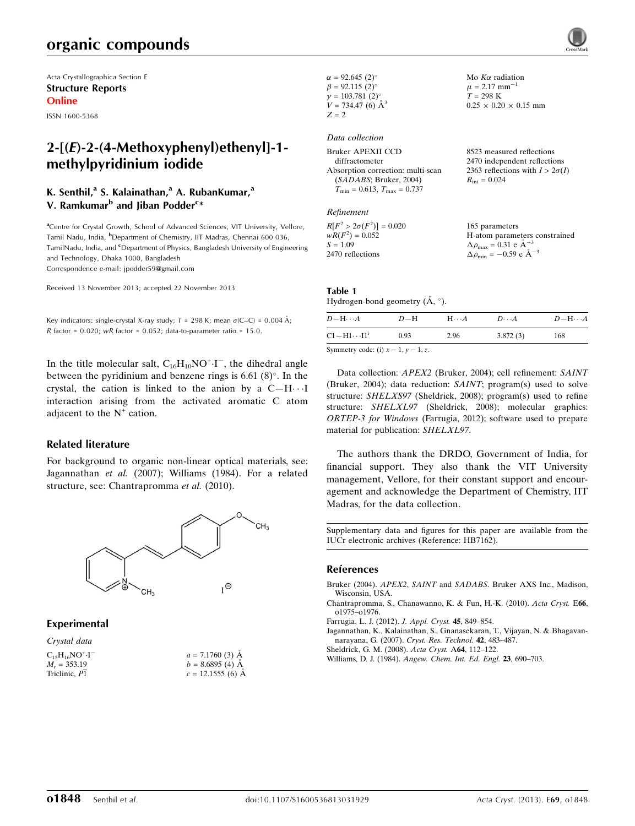## organic compounds

Acta Crystallographica Section E Structure Reports Online

ISSN 1600-5368

## $2-[E]-2-(4-Methoxyphenyl)ethenyl]-1$ methylpyridinium iodide

### K. Senthil,<sup>a</sup> S. Kalainathan,<sup>a</sup> A. RubanKumar,<sup>a</sup> V. Ramkumar<sup>b</sup> and Jiban Podder<sup>c</sup>\*

<sup>a</sup>Centre for Crystal Growth, School of Advanced Sciences, VIT University, Vellore, Tamil Nadu, India, <sup>b</sup>Department of Chemistry, IIT Madras, Chennai 600 036, TamilNadu, India, and <sup>c</sup>Department of Physics, Bangladesh University of Engineering and Technology, Dhaka 1000, Bangladesh Correspondence e-mail: [jpodder59@gmail.com](http://scripts.iucr.org/cgi-bin/cr.cgi?rm=pdfbb&cnor=hb7162&bbid=BB6)

Received 13 November 2013; accepted 22 November 2013

Key indicators: single-crystal X-ray study;  $T = 298$  K; mean  $\sigma$ (C–C) = 0.004 Å;  $R$  factor = 0.020; wR factor = 0.052; data-to-parameter ratio = 15.0.

In the title molecular salt,  $C_{16}H_{10}NO^{+}\cdot I^{-}$ , the dihedral angle between the pyridinium and benzene rings is 6.61  $(8)^\circ$ . In the crystal, the cation is linked to the anion by a  $C-H \cdot \cdot I$ interaction arising from the activated aromatic C atom adjacent to the  $N^+$  cation.

#### Related literature

For background to organic non-linear optical materials, see: Jagannathan et al. (2007); Williams (1984). For a related structure, see: Chantrapromma et al. (2010).



#### Experimental

| $a = 7.1760$ (3) Å |
|--------------------|
| $b = 8.6895(4)$ Å  |
| $c = 12.1555(6)$ Å |
|                    |

| $\alpha = 92.645(2)^{\circ}$ |  |
|------------------------------|--|
| $\beta = 92.115(2)$ °        |  |
| $\gamma = 103.781(2)$ °      |  |
| $V = 734.47(6)$ $\AA^3$      |  |
| $Z = 2$                      |  |

Data collection Bruker APEXII CCD

| 2470 independent reflections           |
|----------------------------------------|
| 2363 reflections with $I > 2\sigma(I)$ |
| $R_{\rm int} = 0.024$                  |
|                                        |
|                                        |

Mo  $K\alpha$  radiation  $\mu$  = 2.17 mm<sup>-1</sup>  $T = 298 \text{ K}$ 

 $0.25 \times 0.20 \times 0.15$  mm

8523 measured reflections

#### Refinement

| $R[F^2 > 2\sigma(F^2)] = 0.020$ | 165 parameters                                     |
|---------------------------------|----------------------------------------------------|
| $wR(F^2) = 0.052$               | H-atom parameters constrained                      |
| $S = 1.09$                      | $\Delta \rho_{\text{max}} = 0.31 \text{ e A}^{-3}$ |
| 2470 reflections                | $\Delta \rho_{\text{min}} = -0.59$ e $\AA^{-3}$    |

## Table 1

Hydrogen-bond geometry  $(\mathring{A}, \degree)$ .

| $D - H \cdots A$                         | $D-H$ | $H \cdot \cdot \cdot A$ | $D\cdots A$ | $D - H \cdots A$ |
|------------------------------------------|-------|-------------------------|-------------|------------------|
| $C1 - H1 \cdots 11^i$                    | 0.93  | 2.96                    | 3.872(3)    | 168              |
| Symmatry codar (i) $x = 1$ $y = 1$ $\pi$ |       |                         |             |                  |

Symmetry code: (i)  $x - 1$ ,  $y - 1$ , z.

Data collection: APEX2 (Bruker, 2004); cell refinement: SAINT (Bruker, 2004); data reduction: SAINT; program(s) used to solve structure: SHELXS97 (Sheldrick, 2008); program(s) used to refine structure: SHELXL97 (Sheldrick, 2008); molecular graphics: ORTEP-3 for Windows (Farrugia, 2012); software used to prepare material for publication: SHELXL97.

The authors thank the DRDO, Government of India, for financial support. They also thank the VIT University management, Vellore, for their constant support and encouragement and acknowledge the Department of Chemistry, IIT Madras, for the data collection.

Supplementary data and figures for this paper are available from the IUCr electronic archives (Reference: HB7162).

#### References

- Bruker (2004). APEX2, SAINT and SADABS[. Bruker AXS Inc., Madison,](http://scripts.iucr.org/cgi-bin/cr.cgi?rm=pdfbb&cnor=hb7162&bbid=BB1) [Wisconsin, USA.](http://scripts.iucr.org/cgi-bin/cr.cgi?rm=pdfbb&cnor=hb7162&bbid=BB1)
- [Chantrapromma, S., Chanawanno, K. & Fun, H.-K. \(2010\).](http://scripts.iucr.org/cgi-bin/cr.cgi?rm=pdfbb&cnor=hb7162&bbid=BB2) Acta Cryst. E66, [o1975–o1976.](http://scripts.iucr.org/cgi-bin/cr.cgi?rm=pdfbb&cnor=hb7162&bbid=BB2)
- [Farrugia, L. J. \(2012\).](http://scripts.iucr.org/cgi-bin/cr.cgi?rm=pdfbb&cnor=hb7162&bbid=BB3) J. Appl. Cryst. 45, 849–854.
- [Jagannathan, K., Kalainathan, S., Gnanasekaran, T., Vijayan, N. & Bhagavan](http://scripts.iucr.org/cgi-bin/cr.cgi?rm=pdfbb&cnor=hb7162&bbid=BB4)[narayana, G. \(2007\).](http://scripts.iucr.org/cgi-bin/cr.cgi?rm=pdfbb&cnor=hb7162&bbid=BB4) Cryst. Res. Technol. 42, 483–487.
- [Sheldrick, G. M. \(2008\).](http://scripts.iucr.org/cgi-bin/cr.cgi?rm=pdfbb&cnor=hb7162&bbid=BB5) Acta Cryst. A64, 112–122.
- Williams, D. J. (1984). [Angew. Chem. Int. Ed. Engl.](http://scripts.iucr.org/cgi-bin/cr.cgi?rm=pdfbb&cnor=hb7162&bbid=BB6) 23, 690–703.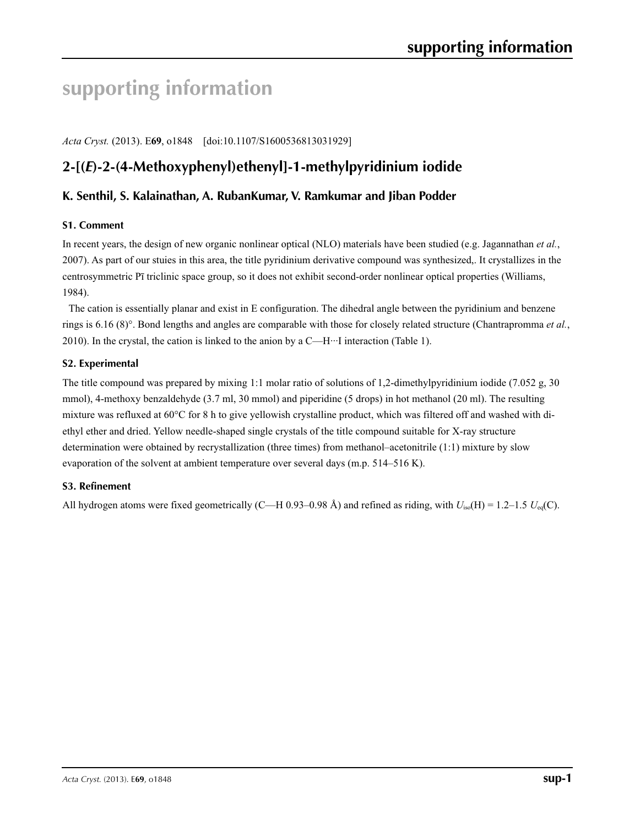# **supporting information**

*Acta Cryst.* (2013). E**69**, o1848 [doi:10.1107/S1600536813031929]

# **2-[(***E***)-2-(4-Methoxyphenyl)ethenyl]-1-methylpyridinium iodide**

## **K. Senthil, S. Kalainathan, A. RubanKumar, V. Ramkumar and Jiban Podder**

### **S1. Comment**

In recent years, the design of new organic nonlinear optical (NLO) materials have been studied (e.g. Jagannathan *et al.*, 2007). As part of our stuies in this area, the title pyridinium derivative compound was synthesized,. It crystallizes in the centrosymmetric Pī triclinic space group, so it does not exhibit second-order nonlinear optical properties (Williams, 1984).

The cation is essentially planar and exist in E configuration. The dihedral angle between the pyridinium and benzene rings is 6.16 (8)°. Bond lengths and angles are comparable with those for closely related structure (Chantrapromma *et al.*, 2010). In the crystal, the cation is linked to the anion by a C—H···I interaction (Table 1).

## **S2. Experimental**

The title compound was prepared by mixing 1:1 molar ratio of solutions of 1,2-dimethylpyridinium iodide (7.052 g, 30 mmol), 4-methoxy benzaldehyde (3.7 ml, 30 mmol) and piperidine (5 drops) in hot methanol (20 ml). The resulting mixture was refluxed at 60°C for 8 h to give yellowish crystalline product, which was filtered off and washed with diethyl ether and dried. Yellow needle-shaped single crystals of the title compound suitable for X-ray structure determination were obtained by recrystallization (three times) from methanol–acetonitrile (1:1) mixture by slow evaporation of the solvent at ambient temperature over several days (m.p. 514–516 K).

### **S3. Refinement**

All hydrogen atoms were fixed geometrically (C—H 0.93–0.98 Å) and refined as riding, with *U*iso(H) = 1.2–1.5 *U*eq(C).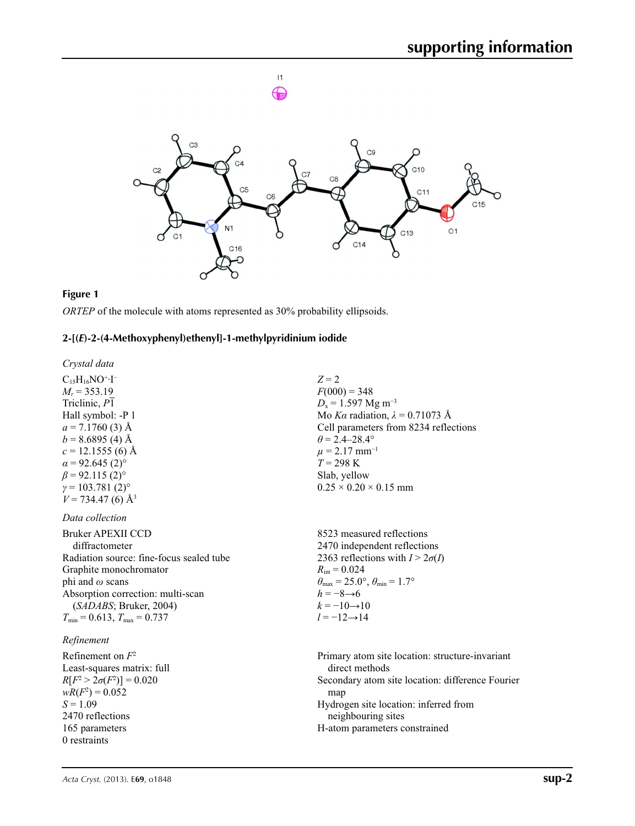



#### **Figure 1**

*ORTEP* of the molecule with atoms represented as 30% probability ellipsoids.

#### **2-[(***E***)-2-(4-Methoxyphenyl)ethenyl]-1-methylpyridinium iodide**

*Crystal data*

 $C_{15}H_{16}NO^{+}\cdot I^{-}$  $M_r = 353.19$ Triclinic, *P*1 Hall symbol: -P 1  $a = 7.1760(3)$  Å  $b = 8.6895(4)$  Å  $c = 12.1555(6)$  Å  $\alpha$  = 92.645 (2)<sup>°</sup>  $\beta$  = 92.115 (2)<sup>o</sup>  $\gamma = 103.781(2)$ °  $V = 734.47(6)$  Å<sup>3</sup>

*Data collection*

Bruker APEXII CCD diffractometer Radiation source: fine-focus sealed tube Graphite monochromator phi and *ω* scans Absorption correction: multi-scan (*SADABS*; Bruker, 2004)  $T_{\text{min}} = 0.613$ ,  $T_{\text{max}} = 0.737$ 

#### *Refinement*

Refinement on *F*<sup>2</sup> Least-squares matrix: full *R*[ $F^2 > 2\sigma(F^2)$ ] = 0.020  $wR(F^2) = 0.052$  $S = 1.09$ 2470 reflections 165 parameters 0 restraints

*Z* = 2  $F(000) = 348$  $D_x = 1.597$  Mg m<sup>-3</sup> Mo *Kα* radiation, *λ* = 0.71073 Å Cell parameters from 8234 reflections  $\theta = 2.4 - 28.4^{\circ}$  $\mu$  = 2.17 mm<sup>-1</sup> *T* = 298 K Slab, yellow  $0.25 \times 0.20 \times 0.15$  mm

8523 measured reflections 2470 independent reflections 2363 reflections with  $I > 2\sigma(I)$  $R_{\text{int}} = 0.024$  $\theta_{\text{max}} = 25.0^{\circ}, \theta_{\text{min}} = 1.7^{\circ}$ *h* = −8→6  $k = -10 \rightarrow 10$  $l = -12 \rightarrow 14$ 

Primary atom site location: structure-invariant direct methods Secondary atom site location: difference Fourier map Hydrogen site location: inferred from neighbouring sites H-atom parameters constrained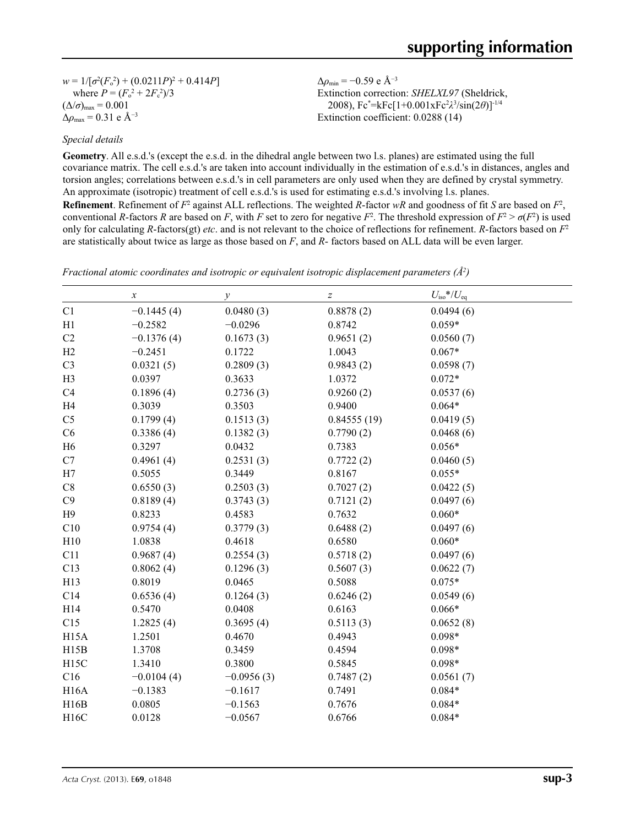$w = 1/[\sigma^2 (F_o^2) + (0.0211P)^2 + 0.414P]$ where  $P = (F_o^2 + 2F_c^2)/3$  $(\Delta/\sigma)_{\text{max}} = 0.001$  $Δρ<sub>max</sub> = 0.31 e Å<sup>-3</sup>$ 

Δ*ρ*min = −0.59 e Å−3 Extinction correction: *SHELXL97* (Sheldrick, 2008), Fc\* =kFc[1+0.001xFc2 *λ*3 /sin(2*θ*)]-1/4 Extinction coefficient: 0.0288 (14)

### *Special details*

**Geometry**. All e.s.d.'s (except the e.s.d. in the dihedral angle between two l.s. planes) are estimated using the full covariance matrix. The cell e.s.d.'s are taken into account individually in the estimation of e.s.d.'s in distances, angles and torsion angles; correlations between e.s.d.'s in cell parameters are only used when they are defined by crystal symmetry. An approximate (isotropic) treatment of cell e.s.d.'s is used for estimating e.s.d.'s involving l.s. planes.

**Refinement**. Refinement of  $F^2$  against ALL reflections. The weighted *R*-factor  $wR$  and goodness of fit *S* are based on  $F^2$ , conventional *R*-factors *R* are based on *F*, with *F* set to zero for negative  $F^2$ . The threshold expression of  $F^2 > \sigma(F^2)$  is used only for calculating *R*-factors(gt) *etc*. and is not relevant to the choice of reflections for refinement. *R*-factors based on *F*<sup>2</sup> are statistically about twice as large as those based on *F*, and *R*- factors based on ALL data will be even larger.

|                   | $\boldsymbol{\chi}$ | $\mathcal{Y}$ | $\boldsymbol{Z}$ | $U_{\rm iso}*/U_{\rm eq}$ |  |
|-------------------|---------------------|---------------|------------------|---------------------------|--|
| C1                | $-0.1445(4)$        | 0.0480(3)     | 0.8878(2)        | 0.0494(6)                 |  |
| H1                | $-0.2582$           | $-0.0296$     | 0.8742           | $0.059*$                  |  |
| C <sub>2</sub>    | $-0.1376(4)$        | 0.1673(3)     | 0.9651(2)        | 0.0560(7)                 |  |
| H2                | $-0.2451$           | 0.1722        | 1.0043           | $0.067*$                  |  |
| C <sub>3</sub>    | 0.0321(5)           | 0.2809(3)     | 0.9843(2)        | 0.0598(7)                 |  |
| H <sub>3</sub>    | 0.0397              | 0.3633        | 1.0372           | $0.072*$                  |  |
| C <sub>4</sub>    | 0.1896(4)           | 0.2736(3)     | 0.9260(2)        | 0.0537(6)                 |  |
| H <sub>4</sub>    | 0.3039              | 0.3503        | 0.9400           | $0.064*$                  |  |
| C <sub>5</sub>    | 0.1799(4)           | 0.1513(3)     | 0.84555(19)      | 0.0419(5)                 |  |
| C6                | 0.3386(4)           | 0.1382(3)     | 0.7790(2)        | 0.0468(6)                 |  |
| H <sub>6</sub>    | 0.3297              | 0.0432        | 0.7383           | $0.056*$                  |  |
| C7                | 0.4961(4)           | 0.2531(3)     | 0.7722(2)        | 0.0460(5)                 |  |
| H7                | 0.5055              | 0.3449        | 0.8167           | $0.055*$                  |  |
| C8                | 0.6550(3)           | 0.2503(3)     | 0.7027(2)        | 0.0422(5)                 |  |
| C9                | 0.8189(4)           | 0.3743(3)     | 0.7121(2)        | 0.0497(6)                 |  |
| H9                | 0.8233              | 0.4583        | 0.7632           | $0.060*$                  |  |
| C10               | 0.9754(4)           | 0.3779(3)     | 0.6488(2)        | 0.0497(6)                 |  |
| H10               | 1.0838              | 0.4618        | 0.6580           | $0.060*$                  |  |
| C11               | 0.9687(4)           | 0.2554(3)     | 0.5718(2)        | 0.0497(6)                 |  |
| C13               | 0.8062(4)           | 0.1296(3)     | 0.5607(3)        | 0.0622(7)                 |  |
| H13               | 0.8019              | 0.0465        | 0.5088           | $0.075*$                  |  |
| C14               | 0.6536(4)           | 0.1264(3)     | 0.6246(2)        | 0.0549(6)                 |  |
| H14               | 0.5470              | 0.0408        | 0.6163           | $0.066*$                  |  |
| C15               | 1.2825(4)           | 0.3695(4)     | 0.5113(3)        | 0.0652(8)                 |  |
| H15A              | 1.2501              | 0.4670        | 0.4943           | $0.098*$                  |  |
| H15B              | 1.3708              | 0.3459        | 0.4594           | $0.098*$                  |  |
| H <sub>15</sub> C | 1.3410              | 0.3800        | 0.5845           | $0.098*$                  |  |
| C16               | $-0.0104(4)$        | $-0.0956(3)$  | 0.7487(2)        | 0.0561(7)                 |  |
| <b>H16A</b>       | $-0.1383$           | $-0.1617$     | 0.7491           | $0.084*$                  |  |
| H16B              | 0.0805              | $-0.1563$     | 0.7676           | $0.084*$                  |  |
| H16C              | 0.0128              | $-0.0567$     | 0.6766           | $0.084*$                  |  |

*Fractional atomic coordinates and isotropic or equivalent isotropic displacement parameters (Å<sup>2</sup>)*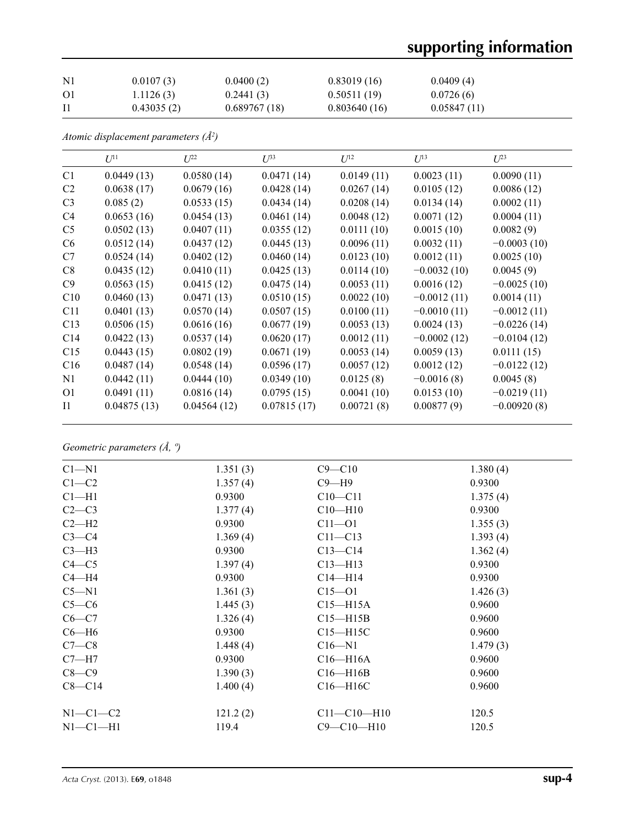# **supporting information**

| $\rm N1$ | 0.0107(3)  | 0.0400(2)    | 0.83019(16)  | 0.0409(4)   |
|----------|------------|--------------|--------------|-------------|
| O1       | 1.1126(3)  | 0.2441(3)    | 0.50511(19)  | 0.0726(6)   |
|          | 0.43035(2) | 0.689767(18) | 0.803640(16) | 0.05847(11) |

*Atomic displacement parameters (Å2 )*

|                | $U^{11}$    | $L^{22}$    | $\mathcal{L}^{\beta 3}$ | $U^{12}$   | $U^{13}$      | $U^{23}$      |
|----------------|-------------|-------------|-------------------------|------------|---------------|---------------|
| C1             | 0.0449(13)  | 0.0580(14)  | 0.0471(14)              | 0.0149(11) | 0.0023(11)    | 0.0090(11)    |
| C <sub>2</sub> | 0.0638(17)  | 0.0679(16)  | 0.0428(14)              | 0.0267(14) | 0.0105(12)    | 0.0086(12)    |
| C <sub>3</sub> | 0.085(2)    | 0.0533(15)  | 0.0434(14)              | 0.0208(14) | 0.0134(14)    | 0.0002(11)    |
| C <sub>4</sub> | 0.0653(16)  | 0.0454(13)  | 0.0461(14)              | 0.0048(12) | 0.0071(12)    | 0.0004(11)    |
| C <sub>5</sub> | 0.0502(13)  | 0.0407(11)  | 0.0355(12)              | 0.0111(10) | 0.0015(10)    | 0.0082(9)     |
| C <sub>6</sub> | 0.0512(14)  | 0.0437(12)  | 0.0445(13)              | 0.0096(11) | 0.0032(11)    | $-0.0003(10)$ |
| C7             | 0.0524(14)  | 0.0402(12)  | 0.0460(14)              | 0.0123(10) | 0.0012(11)    | 0.0025(10)    |
| C8             | 0.0435(12)  | 0.0410(11)  | 0.0425(13)              | 0.0114(10) | $-0.0032(10)$ | 0.0045(9)     |
| C9             | 0.0563(15)  | 0.0415(12)  | 0.0475(14)              | 0.0053(11) | 0.0016(12)    | $-0.0025(10)$ |
| C10            | 0.0460(13)  | 0.0471(13)  | 0.0510(15)              | 0.0022(10) | $-0.0012(11)$ | 0.0014(11)    |
| C11            | 0.0401(13)  | 0.0570(14)  | 0.0507(15)              | 0.0100(11) | $-0.0010(11)$ | $-0.0012(11)$ |
| C13            | 0.0506(15)  | 0.0616(16)  | 0.0677(19)              | 0.0053(13) | 0.0024(13)    | $-0.0226(14)$ |
| C14            | 0.0422(13)  | 0.0537(14)  | 0.0620(17)              | 0.0012(11) | $-0.0002(12)$ | $-0.0104(12)$ |
| C15            | 0.0443(15)  | 0.0802(19)  | 0.0671(19)              | 0.0053(14) | 0.0059(13)    | 0.0111(15)    |
| C16            | 0.0487(14)  | 0.0548(14)  | 0.0596(17)              | 0.0057(12) | 0.0012(12)    | $-0.0122(12)$ |
| N1             | 0.0442(11)  | 0.0444(10)  | 0.0349(10)              | 0.0125(8)  | $-0.0016(8)$  | 0.0045(8)     |
| O <sub>1</sub> | 0.0491(11)  | 0.0816(14)  | 0.0795(15)              | 0.0041(10) | 0.0153(10)    | $-0.0219(11)$ |
| $_{\rm I1}$    | 0.04875(13) | 0.04564(12) | 0.07815(17)             | 0.00721(8) | 0.00877(9)    | $-0.00920(8)$ |

*Geometric parameters (Å, º)*

| $Cl - N1$  | 1.351(3) | $C9 - C10$        | 1.380(4) |
|------------|----------|-------------------|----------|
| $C1-C2$    | 1.357(4) | $C9 - H9$         | 0.9300   |
| $Cl-H1$    | 0.9300   | $C10 - C11$       | 1.375(4) |
| $C2-C3$    | 1.377(4) | $C10 - H10$       | 0.9300   |
| $C2-H2$    | 0.9300   | $C11 - O1$        | 1.355(3) |
| $C3-C4$    | 1.369(4) | $C11 - C13$       | 1.393(4) |
| $C3-H3$    | 0.9300   | $C13 - C14$       | 1.362(4) |
| $C4 - C5$  | 1.397(4) | $C13 - H13$       | 0.9300   |
| $C4 - H4$  | 0.9300   | $C14 - H14$       | 0.9300   |
| $C5 - N1$  | 1.361(3) | $C15 - 01$        | 1.426(3) |
| $C5-C6$    | 1.445(3) | $C15 - H15A$      | 0.9600   |
| $C6-C7$    | 1.326(4) | $C15 - H15B$      | 0.9600   |
| $C6 - H6$  | 0.9300   | $C15 - H15C$      | 0.9600   |
| $C7-C8$    | 1.448(4) | $C16 - N1$        | 1.479(3) |
| $C7 - H7$  | 0.9300   | $C16 - H16A$      | 0.9600   |
| $C8-C9$    | 1.390(3) | $C16 - H16B$      | 0.9600   |
| $C8 - C14$ | 1.400(4) | $C16 - H16C$      | 0.9600   |
| $N1-C1-C2$ | 121.2(2) | $C11 - C10 - H10$ | 120.5    |
| $N1-C1-H1$ | 119.4    | $C9 - C10 - H10$  | 120.5    |
|            |          |                   |          |